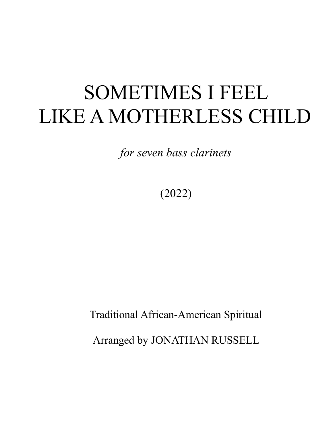## SOMETIMES I FEEL LIKE A MOTHERLESS CHILD

*for seven bass clarinets*

(2022)

Traditional African-American Spiritual Arranged by JONATHAN RUSSELL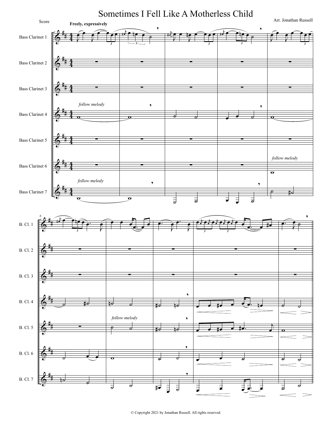

© Copyright 2021 by Jonathan Russell. All rights reserved.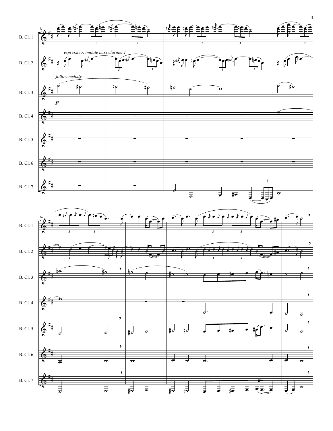

 $\pmb{\Phi}$  $\frac{1}{\sigma}$   $\frac{1}{\sigma}$  $\frac{1}{40}$  a  $\frac{1}{40}$   $\frac{1}{40}$   $\frac{1}{40}$   $\frac{1}{40}$   $\frac{1}{40}$   $\frac{1}{40}$   $\frac{1}{40}$   $\frac{1}{40}$   $\frac{1}{40}$   $\frac{1}{40}$   $\frac{1}{40}$   $\frac{1}{40}$   $\frac{1}{40}$   $\frac{1}{40}$   $\frac{1}{40}$   $\frac{1}{40}$   $\frac{1}{40}$   $\frac{1}{40}$   $\frac{1}{40}$